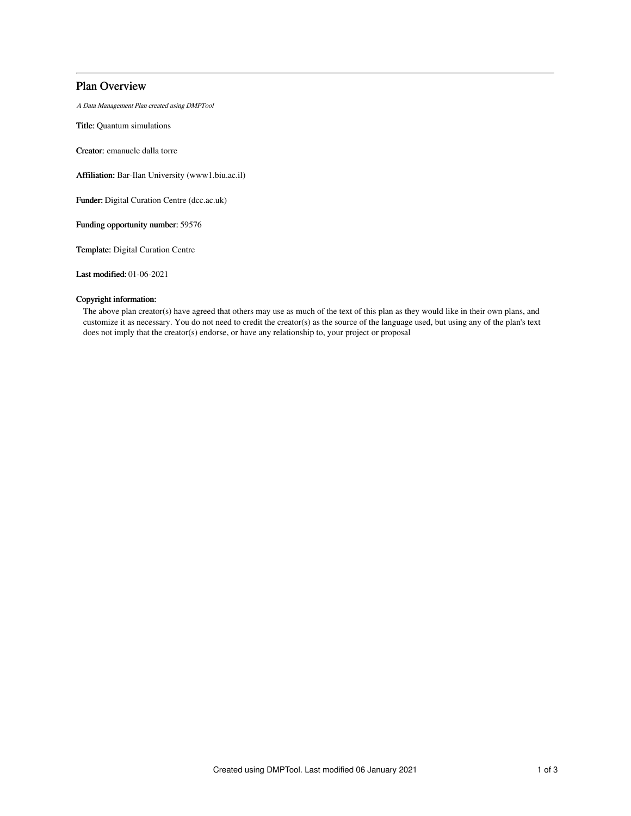# Plan Overview

A Data Management Plan created using DMPTool

Title: Quantum simulations

Creator: emanuele dalla torre

Affiliation: Bar-Ilan University (www1.biu.ac.il)

Funder: Digital Curation Centre (dcc.ac.uk)

Funding opportunity number: 59576

Template: Digital Curation Centre

Last modified: 01-06-2021

# Copyright information:

The above plan creator(s) have agreed that others may use as much of the text of this plan as they would like in their own plans, and customize it as necessary. You do not need to credit the creator(s) as the source of the language used, but using any of the plan's text does not imply that the creator(s) endorse, or have any relationship to, your project or proposal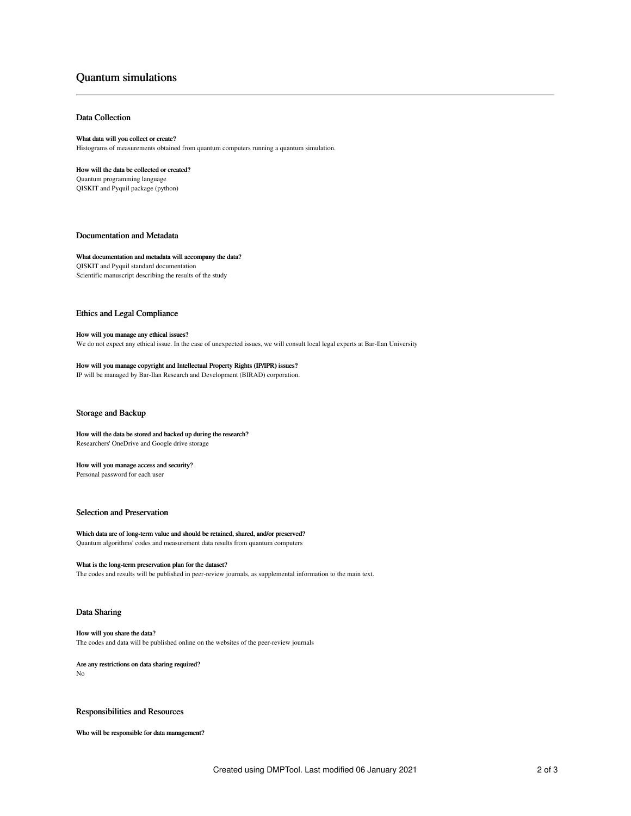# Quantum simulations

### Data Collection

### What data will you collect or create? Histograms of measurements obtained from quantum computers running a quantum simulation.

### How will the data be collected or created?

Quantum programming language QISKIT and Pyquil package (python)

## Documentation and Metadata

#### What documentation and metadata will accompany the data?

QISKIT and Pyquil standard documentation Scientific manuscript describing the results of the study

## Ethics and Legal Compliance

### How will you manage any ethical issues? We do not expect any ethical issue. In the case of unexpected issues, we will consult local legal experts at Bar-Ilan University

# How will you manage copyright and Intellectual Property Rights (IP/IPR) issues?

IP will be managed by Bar-Ilan Research and Development (BIRAD) corporation.

### Storage and Backup

How will the data be stored and backed up during the research? Researchers' OneDrive and Google drive storage

# How will you manage access and security?

Personal password for each user

## Selection and Preservation

Which data are of long-term value and should be retained, shared, and/or preserved? Quantum algorithms' codes and measurement data results from quantum computers

### What is the long-term preservation plan for the dataset?

The codes and results will be published in peer-review journals, as supplemental information to the main text.

### Data Sharing

#### How will you share the data? The codes and data will be published online on the websites of the peer-review journals

Are any restrictions on data sharing required? No

### Responsibilities and Resources

Who will be responsible for data management?